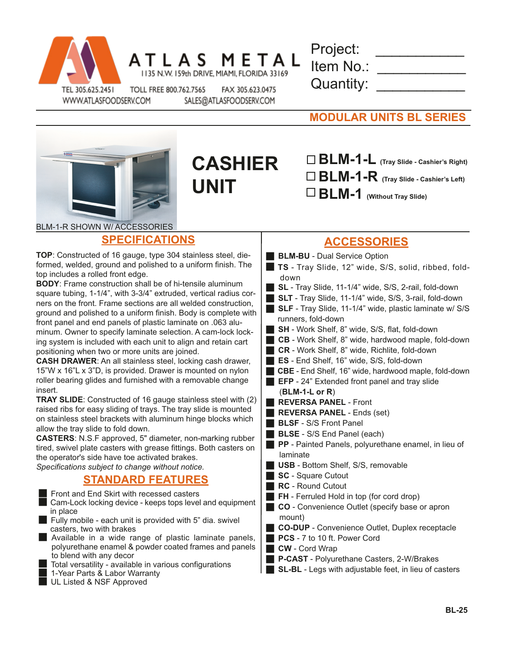

|  | L A S |                                            | M E I | I A |
|--|-------|--------------------------------------------|-------|-----|
|  |       | 135 N.W. 159th DRIVE, MIAMI, FLORIDA 33169 |       |     |

| Project:  |  |
|-----------|--|
| Item No.: |  |
| Quantity: |  |

WWW.ATLASFOODSERV.COM

TOLL FREE 800.762.7565 FAX 305.623.0475 SALES@ATLASFOODSERV.COM

| <b>MODULAR UNITS BL SERIES</b> |
|--------------------------------|
|--------------------------------|



**SPECIFICATIONS**

insert.

**CASHIER UNIT**

**BLM-1-L (Tray Slide - Cashier's Right) BLM-1-R (Tray Slide - Cashier's Left)**

**BLM-1 (Without Tray Slide)**

## **ACCESSORIES**

**TOP**: Constructed of 16 gauge, type 304 stainless steel, dieformed, welded, ground and polished to a uniform finish. The top includes a rolled front edge. **BODY**: Frame construction shall be of hi-tensile aluminum square tubing, 1-1/4", with 3-3/4" extruded, vertical radius corners on the front. Frame sections are all welded construction, ground and polished to a uniform finish. Body is complete with front panel and end panels of plastic laminate on .063 aluminum. Owner to specify laminate selection. A cam-lock locking system is included with each unit to align and retain cart positioning when two or more units are joined. **CASH DRAWER**: An all stainless steel, locking cash drawer, 15"W x 16"L x 3"D, is provided. Drawer is mounted on nylon roller bearing glides and furnished with a removable change **TRAY SLIDE**: Constructed of 16 gauge stainless steel with (2) raised ribs for easy sliding of trays. The tray slide is mounted on stainless steel brackets with aluminum hinge blocks which allow the tray slide to fold down. **CASTERS**: N.S.F approved, 5" diameter, non-marking rubber tired, swivel plate casters with grease fittings. Both casters on the operator's side have toe activated brakes. *Specifications subject to change without notice.* **STANDARD FEATURES** Front and End Skirt with recessed casters Cam-Lock locking device - keeps tops level and equipment in place<br>Fully mobile - each unit is provided with 5" dia. swivel casters, two with brakes Available in a wide range of plastic laminate panels, polyurethane enamel & powder coated frames and panels to blend with any decor<br>■ Total versatility - available in various configurations<br>■ 1-Year Parts & Labor Warranty<br>■ UL Listed & NSF Approved **BLM-BU** - Dual Service Option **TS** - Tray Slide, 12" wide, S/S, solid, ribbed, fold down **SL** - Tray Slide, 11-1/4" wide, S/S, 2-rail, fold-down **SLT** - Tray Slide, 11-1/4" wide, S/S, 3-rail, fold-down **SLF** - Tray Slide, 11-1/4" wide, plastic laminate w/ S/S runners, fold-down **SH** - Work Shelf, 8" wide, S/S, flat, fold-down ■ CB - Work Shelf, 8" wide, hardwood maple, fold-down **CR** - Work Shelf, 8" wide, Richlite, fold-down **ES** - End Shelf, 16" wide, S/S, fold-down **CBE** - End Shelf, 16" wide, hardwood maple, fold-down **EFP** - 24" Extended front panel and tray slide (**BLM-1-L or R**) **REVERSA PANEL - Front REVERSA PANEL** - Ends (set) **BLSF** - S/S Front Panel **BLSE** - S/S End Panel (each) **PP** - Painted Panels, polyurethane enamel, in lieu of laminate **USB** - Bottom Shelf, S/S, removable **SC** - Square Cutout **RC** - Round Cutout **FH** - Ferruled Hold in top (for cord drop) **CO** - Convenience Outlet (specify base or apron mount) **CO-DUP** - Convenience Outlet, Duplex receptacle **PCS** - 7 to 10 ft. Power Cord **CW** - Cord Wrap **P-CAST** - Polyurethane Casters, 2-W/Brakes **SL-BL** - Legs with adjustable feet, in lieu of casters